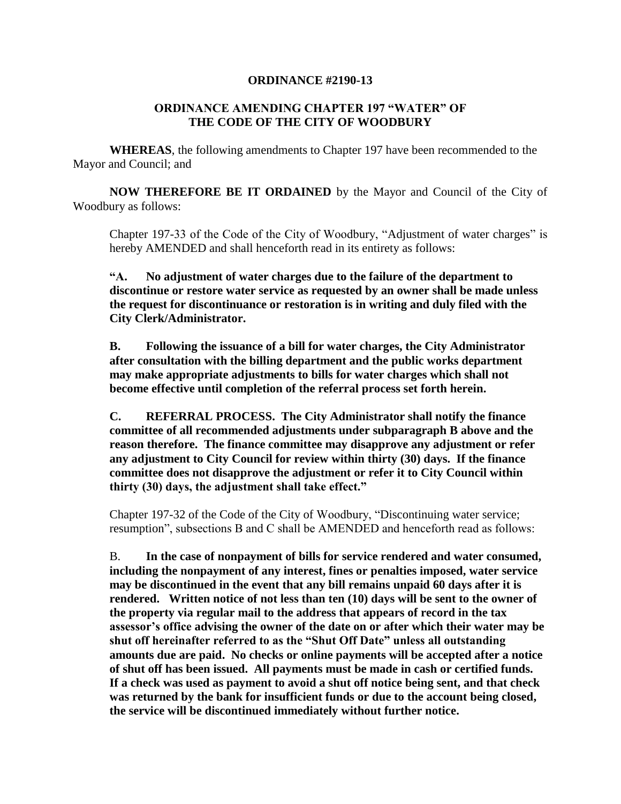## **ORDINANCE #2190-13**

## **ORDINANCE AMENDING CHAPTER 197 "WATER" OF THE CODE OF THE CITY OF WOODBURY**

**WHEREAS**, the following amendments to Chapter 197 have been recommended to the Mayor and Council; and

**NOW THEREFORE BE IT ORDAINED** by the Mayor and Council of the City of Woodbury as follows:

Chapter 197-33 of the Code of the City of Woodbury, "Adjustment of water charges" is hereby AMENDED and shall henceforth read in its entirety as follows:

**"A. No adjustment of water charges due to the failure of the department to discontinue or restore water service as requested by an owner shall be made unless the request for discontinuance or restoration is in writing and duly filed with the City Clerk/Administrator.**

**B. Following the issuance of a bill for water charges, the City Administrator after consultation with the billing department and the public works department may make appropriate adjustments to bills for water charges which shall not become effective until completion of the referral process set forth herein.**

**C. REFERRAL PROCESS. The City Administrator shall notify the finance committee of all recommended adjustments under subparagraph B above and the reason therefore. The finance committee may disapprove any adjustment or refer any adjustment to City Council for review within thirty (30) days. If the finance committee does not disapprove the adjustment or refer it to City Council within thirty (30) days, the adjustment shall take effect."**

Chapter 197-32 of the Code of the City of Woodbury, "Discontinuing water service; resumption", subsections B and C shall be AMENDED and henceforth read as follows:

B. **In the case of nonpayment of bills for service rendered and water consumed, including the nonpayment of any interest, fines or penalties imposed, water service may be discontinued in the event that any bill remains unpaid 60 days after it is rendered. Written notice of not less than ten (10) days will be sent to the owner of the property via regular mail to the address that appears of record in the tax assessor's office advising the owner of the date on or after which their water may be shut off hereinafter referred to as the "Shut Off Date" unless all outstanding amounts due are paid. No checks or online payments will be accepted after a notice of shut off has been issued. All payments must be made in cash or certified funds. If a check was used as payment to avoid a shut off notice being sent, and that check was returned by the bank for insufficient funds or due to the account being closed, the service will be discontinued immediately without further notice.**